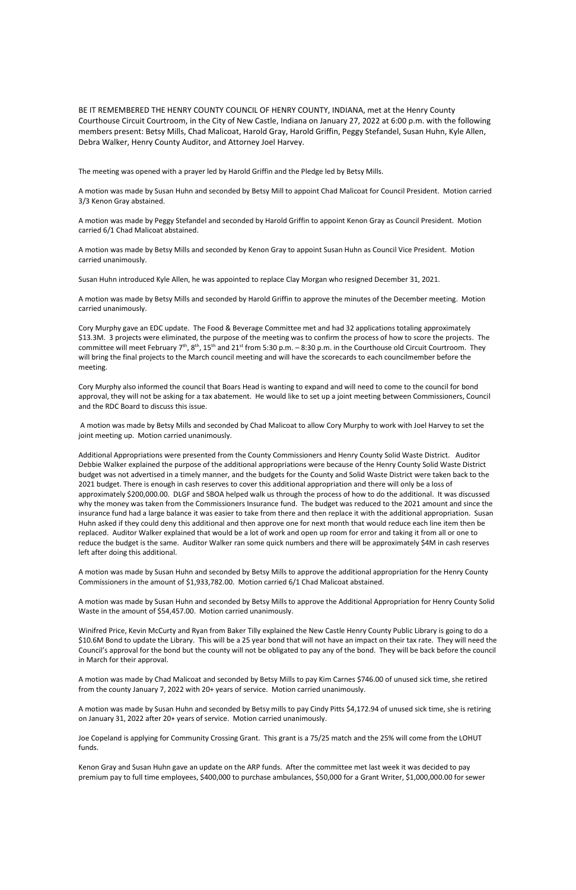BE IT REMEMBERED THE HENRY COUNTY COUNCIL OF HENRY COUNTY, INDIANA, met at the Henry County Courthouse Circuit Courtroom, in the City of New Castle, Indiana on January 27, 2022 at 6:00 p.m. with the following members present: Betsy Mills, Chad Malicoat, Harold Gray, Harold Griffin, Peggy Stefandel, Susan Huhn, Kyle Allen, Debra Walker, Henry County Auditor, and Attorney Joel Harvey.

The meeting was opened with a prayer led by Harold Griffin and the Pledge led by Betsy Mills.

A motion was made by Susan Huhn and seconded by Betsy Mill to appoint Chad Malicoat for Council President. Motion carried 3/3 Kenon Gray abstained.

A motion was made by Peggy Stefandel and seconded by Harold Griffin to appoint Kenon Gray as Council President. Motion carried 6/1 Chad Malicoat abstained.

A motion was made by Betsy Mills and seconded by Kenon Gray to appoint Susan Huhn as Council Vice President. Motion carried unanimously.

Susan Huhn introduced Kyle Allen, he was appointed to replace Clay Morgan who resigned December 31, 2021.

A motion was made by Betsy Mills and seconded by Harold Griffin to approve the minutes of the December meeting. Motion carried unanimously.

Cory Murphy gave an EDC update. The Food & Beverage Committee met and had 32 applications totaling approximately \$13.3M. 3 projects were eliminated, the purpose of the meeting was to confirm the process of how to score the projects. The committee will meet February  $7<sup>th</sup>$ , 8<sup>th</sup>, 15<sup>th</sup> and 21<sup>st</sup> from 5:30 p.m. – 8:30 p.m. in the Courthouse old Circuit Courtroom. They will bring the final projects to the March council meeting and will have the scorecards to each councilmember before the meeting.

Cory Murphy also informed the council that Boars Head is wanting to expand and will need to come to the council for bond approval, they will not be asking for a tax abatement. He would like to set up a joint meeting between Commissioners, Council and the RDC Board to discuss this issue.

A motion was made by Betsy Mills and seconded by Chad Malicoat to allow Cory Murphy to work with Joel Harvey to set the joint meeting up. Motion carried unanimously.

Additional Appropriations were presented from the County Commissioners and Henry County Solid Waste District. Auditor Debbie Walker explained the purpose of the additional appropriations were because of the Henry County Solid Waste District budget was not advertised in a timely manner, and the budgets for the County and Solid Waste District were taken back to the 2021 budget. There is enough in cash reserves to cover this additional appropriation and there will only be a loss of approximately \$200,000.00. DLGF and SBOA helped walk us through the process of how to do the additional. It was discussed why the money was taken from the Commissioners Insurance fund. The budget was reduced to the 2021 amount and since the insurance fund had a large balance it was easier to take from there and then replace it with the additional appropriation. Susan Huhn asked if they could deny this additional and then approve one for next month that would reduce each line item then be replaced. Auditor Walker explained that would be a lot of work and open up room for error and taking it from all or one to reduce the budget is the same. Auditor Walker ran some quick numbers and there will be approximately \$4M in cash reserves left after doing this additional.

A motion was made by Susan Huhn and seconded by Betsy Mills to approve the additional appropriation for the Henry County Commissioners in the amount of \$1,933,782.00. Motion carried 6/1 Chad Malicoat abstained.

A motion was made by Susan Huhn and seconded by Betsy Mills to approve the Additional Appropriation for Henry County Solid Waste in the amount of \$54,457.00. Motion carried unanimously.

Winifred Price, Kevin McCurty and Ryan from Baker Tilly explained the New Castle Henry County Public Library is going to do a \$10.6M Bond to update the Library. This will be a 25 year bond that will not have an impact on their tax rate. They will need the Council's approval for the bond but the county will not be obligated to pay any of the bond. They will be back before the council

in March for their approval.

A motion was made by Chad Malicoat and seconded by Betsy Mills to pay Kim Carnes \$746.00 of unused sick time, she retired from the county January 7, 2022 with 20+ years of service. Motion carried unanimously.

A motion was made by Susan Huhn and seconded by Betsy mills to pay Cindy Pitts \$4,172.94 of unused sick time, she is retiring on January 31, 2022 after 20+ years of service. Motion carried unanimously.

Joe Copeland is applying for Community Crossing Grant. This grant is a 75/25 match and the 25% will come from the LOHUT funds.

Kenon Gray and Susan Huhn gave an update on the ARP funds. After the committee met last week it was decided to pay premium pay to full time employees, \$400,000 to purchase ambulances, \$50,000 for a Grant Writer, \$1,000,000.00 for sewer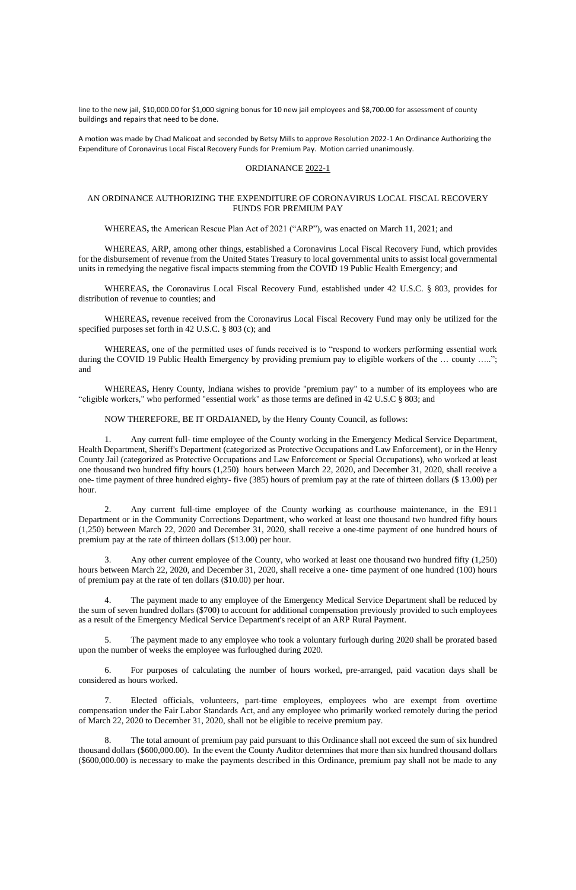line to the new jail, \$10,000.00 for \$1,000 signing bonus for 10 new jail employees and \$8,700.00 for assessment of county buildings and repairs that need to be done.

A motion was made by Chad Malicoat and seconded by Betsy Mills to approve Resolution 2022-1 An Ordinance Authorizing the Expenditure of Coronavirus Local Fiscal Recovery Funds for Premium Pay. Motion carried unanimously.

### ORDIANANCE 2022-1

### AN ORDINANCE AUTHORIZING THE EXPENDITURE OF CORONAVIRUS LOCAL FISCAL RECOVERY FUNDS FOR PREMIUM PAY

#### WHEREAS**,** the American Rescue Plan Act of 2021 ("ARP"), was enacted on March 11, 2021; and

WHEREAS, ARP, among other things, established a Coronavirus Local Fiscal Recovery Fund, which provides for the disbursement of revenue from the United States Treasury to local governmental units to assist local governmental units in remedying the negative fiscal impacts stemming from the COVID 19 Public Health Emergency; and

WHEREAS**,** the Coronavirus Local Fiscal Recovery Fund, established under 42 U.S.C. § 803, provides for distribution of revenue to counties; and

WHEREAS**,** revenue received from the Coronavirus Local Fiscal Recovery Fund may only be utilized for the specified purposes set forth in 42 U.S.C. § 803 (c); and

WHEREAS**,** one of the permitted uses of funds received is to "respond to workers performing essential work during the COVID 19 Public Health Emergency by providing premium pay to eligible workers of the … county ….."; and

WHEREAS**,** Henry County, Indiana wishes to provide "premium pay" to a number of its employees who are "eligible workers," who performed "essential work" as those terms are defined in 42 U.S.C § 803; and

NOW THEREFORE, BE IT ORDAIANED**,** by the Henry County Council, as follows:

1. Any current full- time employee of the County working in the Emergency Medical Service Department, Health Department, Sheriff's Department (categorized as Protective Occupations and Law Enforcement), or in the Henry County Jail (categorized as Protective Occupations and Law Enforcement or Special Occupations), who worked at least one thousand two hundred fifty hours (1,250) hours between March 22, 2020, and December 31, 2020, shall receive a one- time payment of three hundred eighty- five (385) hours of premium pay at the rate of thirteen dollars (\$ 13.00) per hour.

2. Any current full-time employee of the County working as courthouse maintenance, in the E911 Department or in the Community Corrections Department, who worked at least one thousand two hundred fifty hours (1,250) between March 22, 2020 and December 31, 2020, shall receive a one-time payment of one hundred hours of premium pay at the rate of thirteen dollars (\$13.00) per hour.

3. Any other current employee of the County, who worked at least one thousand two hundred fifty (1,250) hours between March 22, 2020, and December 31, 2020, shall receive a one- time payment of one hundred (100) hours of premium pay at the rate of ten dollars (\$10.00) per hour.

4. The payment made to any employee of the Emergency Medical Service Department shall be reduced by the sum of seven hundred dollars (\$700) to account for additional compensation previously provided to such employees as a result of the Emergency Medical Service Department's receipt of an ARP Rural Payment.

5. The payment made to any employee who took a voluntary furlough during 2020 shall be prorated based upon the number of weeks the employee was furloughed during 2020.

6. For purposes of calculating the number of hours worked, pre-arranged, paid vacation days shall be considered as hours worked.

7. Elected officials, volunteers, part-time employees, employees who are exempt from overtime compensation under the Fair Labor Standards Act, and any employee who primarily worked remotely during the period of March 22, 2020 to December 31, 2020, shall not be eligible to receive premium pay.

8. The total amount of premium pay paid pursuant to this Ordinance shall not exceed the sum of six hundred thousand dollars (\$600,000.00). In the event the County Auditor determines that more than six hundred thousand dollars (\$600,000.00) is necessary to make the payments described in this Ordinance, premium pay shall not be made to any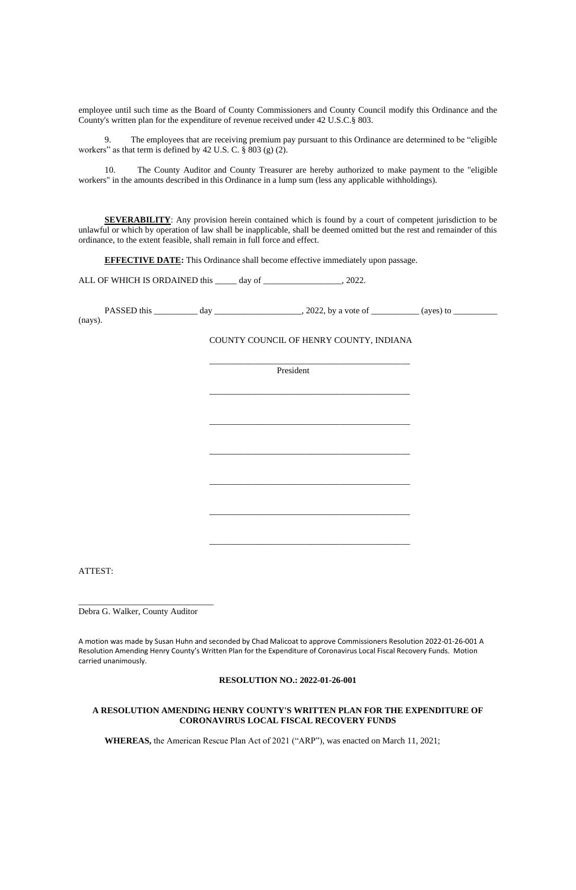employee until such time as the Board of County Commissioners and County Council modify this Ordinance and the County's written plan for the expenditure of revenue received under 42 U.S.C.§ 803.

9. The employees that are receiving premium pay pursuant to this Ordinance are determined to be "eligible workers" as that term is defined by 42 U.S. C. § 803 (g) (2).

**SEVERABILITY:** Any provision herein contained which is found by a court of competent jurisdiction to be unlawful or which by operation of law shall be inapplicable, shall be deemed omitted but the rest and remainder of this ordinance, to the extent feasible, shall remain in full force and effect.

**EFFECTIVE DATE:** This Ordinance shall become effective immediately upon passage.

ALL OF WHICH IS ORDAINED this \_\_\_\_\_ day of \_\_\_\_\_\_\_\_\_\_\_\_\_\_\_\_\_, 2022.

| PASSED this | dav | $2022$ , by a vote of | (aves) to |
|-------------|-----|-----------------------|-----------|
| (navs).     |     |                       |           |

10. The County Auditor and County Treasurer are hereby authorized to make payment to the "eligible workers" in the amounts described in this Ordinance in a lump sum (less any applicable withholdings).

(nays).

## COUNTY COUNCIL OF HENRY COUNTY, INDIANA

\_\_\_\_\_\_\_\_\_\_\_\_\_\_\_\_\_\_\_\_\_\_\_\_\_\_\_\_\_\_\_\_\_\_\_\_\_\_\_\_\_\_\_\_\_\_

President

\_\_\_\_\_\_\_\_\_\_\_\_\_\_\_\_\_\_\_\_\_\_\_\_\_\_\_\_\_\_\_\_\_\_\_\_\_\_\_\_\_\_\_\_\_\_

\_\_\_\_\_\_\_\_\_\_\_\_\_\_\_\_\_\_\_\_\_\_\_\_\_\_\_\_\_\_\_\_\_\_\_\_\_\_\_\_\_\_\_\_\_\_

\_\_\_\_\_\_\_\_\_\_\_\_\_\_\_\_\_\_\_\_\_\_\_\_\_\_\_\_\_\_\_\_\_\_\_\_\_\_\_\_\_\_\_\_\_\_

\_\_\_\_\_\_\_\_\_\_\_\_\_\_\_\_\_\_\_\_\_\_\_\_\_\_\_\_\_\_\_\_\_\_\_\_\_\_\_\_\_\_\_\_\_\_

\_\_\_\_\_\_\_\_\_\_\_\_\_\_\_\_\_\_\_\_\_\_\_\_\_\_\_\_\_\_\_\_\_\_\_\_\_\_\_\_\_\_\_\_\_\_

\_\_\_\_\_\_\_\_\_\_\_\_\_\_\_\_\_\_\_\_\_\_\_\_\_\_\_\_\_\_\_\_\_\_\_\_\_\_\_\_\_\_\_\_\_\_

ATTEST:

\_\_\_\_\_\_\_\_\_\_\_\_\_\_\_\_\_\_\_\_\_\_\_\_\_\_\_\_\_\_\_

Debra G. Walker, County Auditor

A motion was made by Susan Huhn and seconded by Chad Malicoat to approve Commissioners Resolution 2022-01-26-001 A Resolution Amending Henry County's Written Plan for the Expenditure of Coronavirus Local Fiscal Recovery Funds. Motion

carried unanimously.

#### **RESOLUTION NO.: 2022-01-26-001**

# **A RESOLUTION AMENDING HENRY COUNTY'S WRITTEN PLAN FOR THE EXPENDITURE OF CORONAVIRUS LOCAL FISCAL RECOVERY FUNDS**

**WHEREAS,** the American Rescue Plan Act of 2021 ("ARP"), was enacted on March 11, 2021;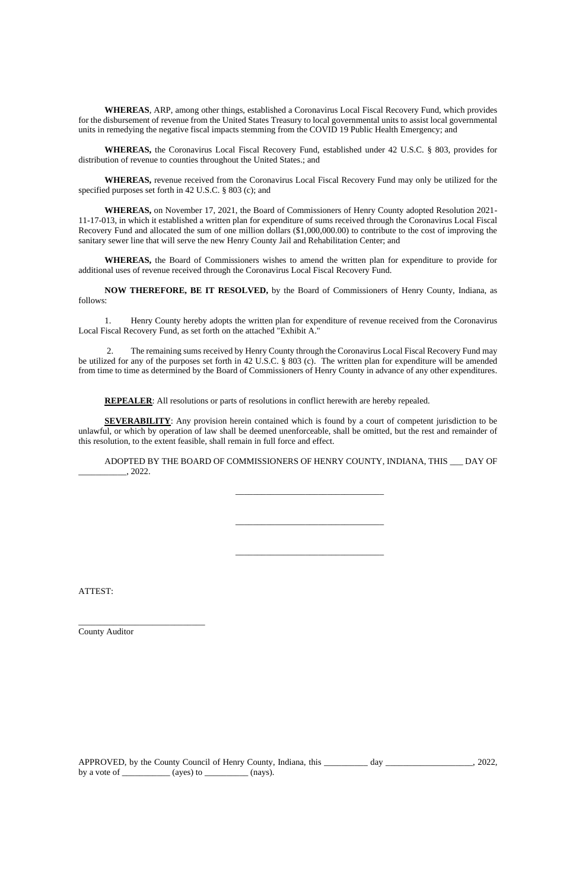**WHEREAS**, ARP, among other things, established a Coronavirus Local Fiscal Recovery Fund, which provides for the disbursement of revenue from the United States Treasury to local governmental units to assist local governmental units in remedying the negative fiscal impacts stemming from the COVID 19 Public Health Emergency; and

**WHEREAS,** the Coronavirus Local Fiscal Recovery Fund, established under 42 U.S.C. § 803, provides for distribution of revenue to counties throughout the United States.; and

**WHEREAS,** revenue received from the Coronavirus Local Fiscal Recovery Fund may only be utilized for the specified purposes set forth in 42 U.S.C. § 803 (c); and

**WHEREAS,** on November 17, 2021, the Board of Commissioners of Henry County adopted Resolution 2021- 11-17-013, in which it established a written plan for expenditure of sums received through the Coronavirus Local Fiscal Recovery Fund and allocated the sum of one million dollars (\$1,000,000.00) to contribute to the cost of improving the sanitary sewer line that will serve the new Henry County Jail and Rehabilitation Center; and

**SEVERABILITY**: Any provision herein contained which is found by a court of competent jurisdiction to be unlawful, or which by operation of law shall be deemed unenforceable, shall be omitted, but the rest and remainder of this resolution, to the extent feasible, shall remain in full force and effect.

ADOPTED BY THE BOARD OF COMMISSIONERS OF HENRY COUNTY, INDIANA, THIS \_\_\_ DAY OF  $\frac{2022}{2}$ 

**WHEREAS,** the Board of Commissioners wishes to amend the written plan for expenditure to provide for additional uses of revenue received through the Coronavirus Local Fiscal Recovery Fund.

**NOW THEREFORE, BE IT RESOLVED,** by the Board of Commissioners of Henry County, Indiana, as follows:

1. Henry County hereby adopts the written plan for expenditure of revenue received from the Coronavirus Local Fiscal Recovery Fund, as set forth on the attached "Exhibit A."

2. The remaining sums received by Henry County through the Coronavirus Local Fiscal Recovery Fund may be utilized for any of the purposes set forth in 42 U.S.C. § 803 (c). The written plan for expenditure will be amended from time to time as determined by the Board of Commissioners of Henry County in advance of any other expenditures.

**REPEALER:** All resolutions or parts of resolutions in conflict herewith are hereby repealed.

\_\_\_\_\_\_\_\_\_\_\_\_\_\_\_\_\_\_\_\_\_\_\_\_\_\_\_\_\_\_\_\_\_\_

\_\_\_\_\_\_\_\_\_\_\_\_\_\_\_\_\_\_\_\_\_\_\_\_\_\_\_\_\_\_\_\_\_\_

\_\_\_\_\_\_\_\_\_\_\_\_\_\_\_\_\_\_\_\_\_\_\_\_\_\_\_\_\_\_\_\_\_\_

ATTEST:

\_\_\_\_\_\_\_\_\_\_\_\_\_\_\_\_\_\_\_\_\_\_\_\_\_\_\_\_\_

APPROVED, by the County Council of Henry County, Indiana, this \_\_\_\_\_\_\_\_\_ day \_\_\_\_\_\_\_\_\_\_\_\_\_\_\_\_\_, 2022, by a vote of  $\_\_\_\_\_$  (ayes) to  $\_\_\_\_\_\_$  (nays).

County Auditor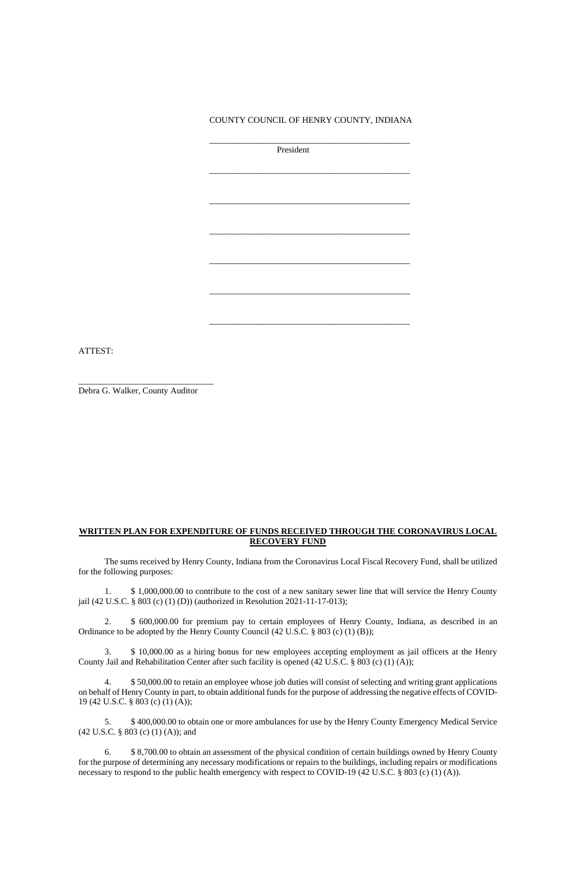COUNTY COUNCIL OF HENRY COUNTY, INDIANA

\_\_\_\_\_\_\_\_\_\_\_\_\_\_\_\_\_\_\_\_\_\_\_\_\_\_\_\_\_\_\_\_\_\_\_\_\_\_\_\_\_\_\_\_\_\_

President

\_\_\_\_\_\_\_\_\_\_\_\_\_\_\_\_\_\_\_\_\_\_\_\_\_\_\_\_\_\_\_\_\_\_\_\_\_\_\_\_\_\_\_\_\_\_

\_\_\_\_\_\_\_\_\_\_\_\_\_\_\_\_\_\_\_\_\_\_\_\_\_\_\_\_\_\_\_\_\_\_\_\_\_\_\_\_\_\_\_\_\_\_

\_\_\_\_\_\_\_\_\_\_\_\_\_\_\_\_\_\_\_\_\_\_\_\_\_\_\_\_\_\_\_\_\_\_\_\_\_\_\_\_\_\_\_\_\_\_

\_\_\_\_\_\_\_\_\_\_\_\_\_\_\_\_\_\_\_\_\_\_\_\_\_\_\_\_\_\_\_\_\_\_\_\_\_\_\_\_\_\_\_\_\_\_

\_\_\_\_\_\_\_\_\_\_\_\_\_\_\_\_\_\_\_\_\_\_\_\_\_\_\_\_\_\_\_\_\_\_\_\_\_\_\_\_\_\_\_\_\_\_

\_\_\_\_\_\_\_\_\_\_\_\_\_\_\_\_\_\_\_\_\_\_\_\_\_\_\_\_\_\_\_\_\_\_\_\_\_\_\_\_\_\_\_\_\_\_

ATTEST:

\_\_\_\_\_\_\_\_\_\_\_\_\_\_\_\_\_\_\_\_\_\_\_\_\_\_\_\_\_\_\_

Debra G. Walker, County Auditor

## **WRITTEN PLAN FOR EXPENDITURE OF FUNDS RECEIVED THROUGH THE CORONAVIRUS LOCAL RECOVERY FUND**

The sums received by Henry County, Indiana from the Coronavirus Local Fiscal Recovery Fund, shall be utilized for the following purposes:

1. \$ 1,000,000.00 to contribute to the cost of a new sanitary sewer line that will service the Henry County jail (42 U.S.C. § 803 (c) (1) (D)) (authorized in Resolution 2021-11-17-013);

6. \$ 8,700.00 to obtain an assessment of the physical condition of certain buildings owned by Henry County for the purpose of determining any necessary modifications or repairs to the buildings, including repairs or modifications necessary to respond to the public health emergency with respect to COVID-19 (42 U.S.C. § 803 (c) (1) (A)).

2. \$ 600,000.00 for premium pay to certain employees of Henry County, Indiana, as described in an Ordinance to be adopted by the Henry County Council (42 U.S.C. § 803 (c) (1) (B));

3. \$ 10,000.00 as a hiring bonus for new employees accepting employment as jail officers at the Henry

County Jail and Rehabilitation Center after such facility is opened (42 U.S.C. § 803 (c) (1) (A));

4. \$ 50,000.00 to retain an employee whose job duties will consist of selecting and writing grant applications on behalf of Henry County in part, to obtain additional funds for the purpose of addressing the negative effects of COVID-19 (42 U.S.C. § 803 (c) (1) (A));

5. \$ 400,000.00 to obtain one or more ambulances for use by the Henry County Emergency Medical Service (42 U.S.C. § 803 (c) (1) (A)); and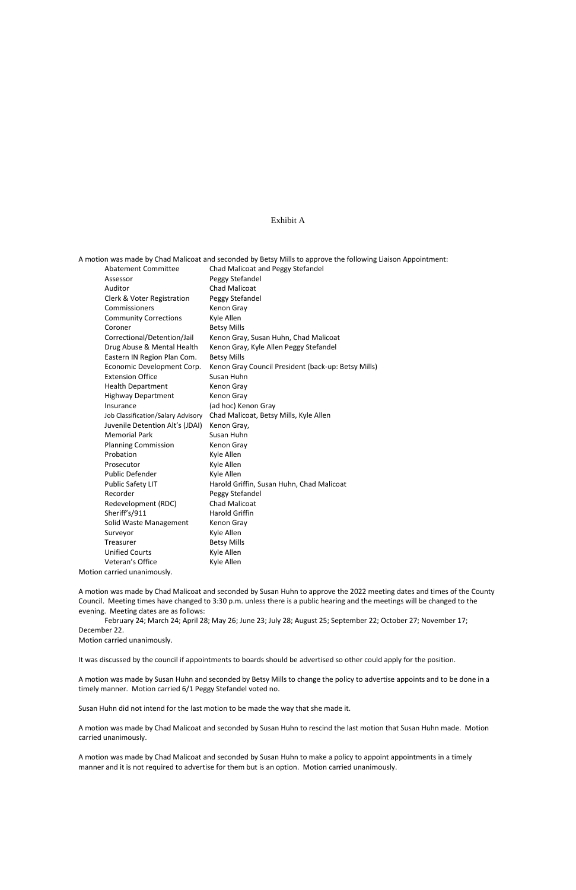#### Exhibit A

Abatement Committee Chad Malicoat and Peggy Stefandel Assessor Peggy Stefandel Auditor Chad Malicoat Clerk & Voter Registration Peggy Stefandel Commissioners Kenon Gray Community Corrections Kyle Allen Coroner Betsy Mills Correctional/Detention/Jail Kenon Gray, Susan Huhn, Chad Malicoat Drug Abuse & Mental Health Kenon Gray, Kyle Allen Peggy Stefandel Eastern IN Region Plan Com. Betsy Mills Economic Development Corp. Kenon Gray Council President (back-up: Betsy Mills) Extension Office Susan Huhn Health Department Kenon Gray Highway Department Kenon Gray Insurance (ad hoc) Kenon Gray Job Classification/Salary Advisory Chad Malicoat, Betsy Mills, Kyle Allen Juvenile Detention Alt's (JDAI) Kenon Gray, Memorial Park Susan Huhn Planning Commission Kenon Gray Probation Kyle Allen Prosecutor Kyle Allen Public Defender Kyle Allen Public Safety LIT Harold Griffin, Susan Huhn, Chad Malicoat Recorder Peggy Stefandel Redevelopment (RDC) Chad Malicoat Sheriff's/911 Harold Griffin Solid Waste Management Kenon Gray Surveyor **Kyle Allen** Treasurer Betsy Mills Unified Courts Kyle Allen Veteran's Office Kyle Allen

A motion was made by Chad Malicoat and seconded by Betsy Mills to approve the following Liaison Appointment:

Motion carried unanimously.

A motion was made by Chad Malicoat and seconded by Susan Huhn to approve the 2022 meeting dates and times of the County Council. Meeting times have changed to 3:30 p.m. unless there is a public hearing and the meetings will be changed to the evening. Meeting dates are as follows:

February 24; March 24; April 28; May 26; June 23; July 28; August 25; September 22; October 27; November 17; December 22.

Motion carried unanimously.

It was discussed by the council if appointments to boards should be advertised so other could apply for the position.

A motion was made by Susan Huhn and seconded by Betsy Mills to change the policy to advertise appoints and to be done in a timely manner. Motion carried 6/1 Peggy Stefandel voted no.

Susan Huhn did not intend for the last motion to be made the way that she made it.

A motion was made by Chad Malicoat and seconded by Susan Huhn to rescind the last motion that Susan Huhn made. Motion carried unanimously.

A motion was made by Chad Malicoat and seconded by Susan Huhn to make a policy to appoint appointments in a timely manner and it is not required to advertise for them but is an option. Motion carried unanimously.